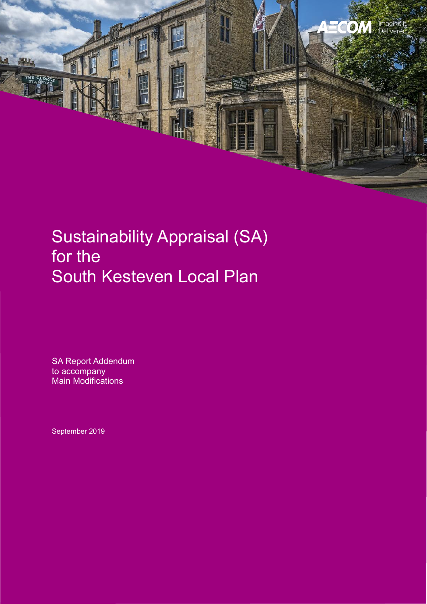

Imagine it<br>Deliverec

SA Report Addendum to accompany Main Modifications

September 2019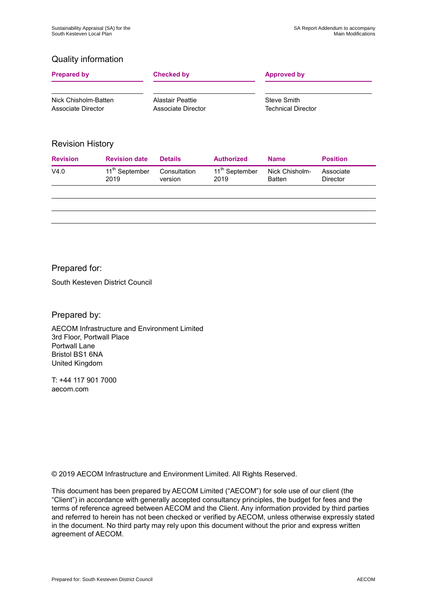#### Quality information

| <b>Prepared by</b>   | Checked by         | <b>Approved by</b>        |  |
|----------------------|--------------------|---------------------------|--|
| Nick Chisholm-Batten | Alastair Peattie   | Steve Smith               |  |
| Associate Director   | Associate Director | <b>Technical Director</b> |  |

#### Revision History

| <b>Revision</b> | <b>Revision date</b>               | <b>Details</b>          | <b>Authorized</b>                  | <b>Name</b>                     | <b>Position</b>       |
|-----------------|------------------------------------|-------------------------|------------------------------------|---------------------------------|-----------------------|
| V4.0            | 11 <sup>th</sup> September<br>2019 | Consultation<br>version | 11 <sup>th</sup> September<br>2019 | Nick Chisholm-<br><b>Batten</b> | Associate<br>Director |
|                 |                                    |                         |                                    |                                 |                       |
|                 |                                    |                         |                                    |                                 |                       |
|                 |                                    |                         |                                    |                                 |                       |

#### Prepared for:

South Kesteven District Council

#### Prepared by:

AECOM Infrastructure and Environment Limited 3rd Floor, Portwall Place Portwall Lane Bristol BS1 6NA United Kingdom

T: +44 117 901 7000 aecom.com

© 2019 AECOM Infrastructure and Environment Limited. All Rights Reserved.

This document has been prepared by AECOM Limited ("AECOM") for sole use of our client (the "Client") in accordance with generally accepted consultancy principles, the budget for fees and the terms of reference agreed between AECOM and the Client. Any information provided by third parties and referred to herein has not been checked or verified by AECOM, unless otherwise expressly stated in the document. No third party may rely upon this document without the prior and express written agreement of AECOM.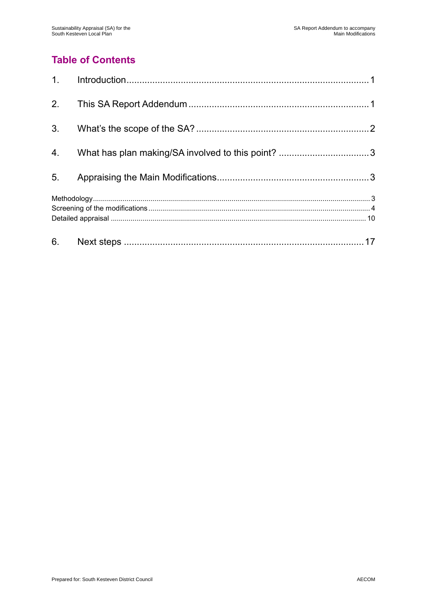### **Table of Contents**

| 5. |  |
|----|--|
|    |  |
|    |  |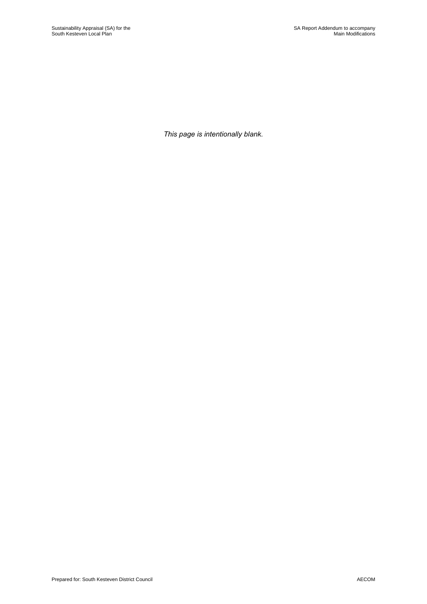*This page is intentionally blank.*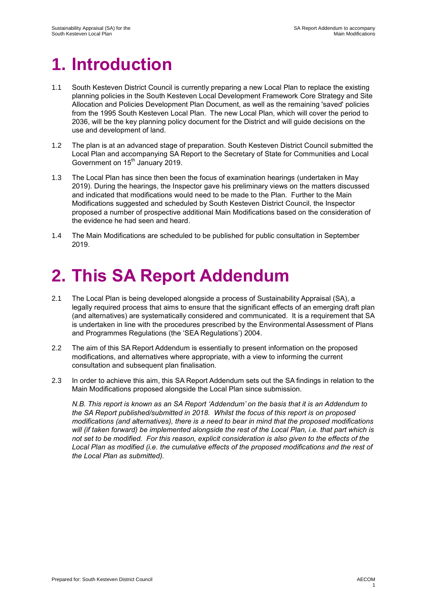## **1. Introduction**

- 1.1 South Kesteven District Council is currently preparing a new Local Plan to replace the existing planning policies in the South Kesteven Local Development Framework Core Strategy and Site Allocation and Policies Development Plan Document, as well as the remaining 'saved' policies from the 1995 South Kesteven Local Plan. The new Local Plan, which will cover the period to 2036, will be the key planning policy document for the District and will guide decisions on the use and development of land.
- 1.2 The plan is at an advanced stage of preparation. South Kesteven District Council submitted the Local Plan and accompanying SA Report to the Secretary of State for Communities and Local Government on 15<sup>th</sup> January 2019.
- 1.3 The Local Plan has since then been the focus of examination hearings (undertaken in May 2019). During the hearings, the Inspector gave his preliminary views on the matters discussed and indicated that modifications would need to be made to the Plan. Further to the Main Modifications suggested and scheduled by South Kesteven District Council, the Inspector proposed a number of prospective additional Main Modifications based on the consideration of the evidence he had seen and heard.
- 1.4 The Main Modifications are scheduled to be published for public consultation in September 2019.

## **2. This SA Report Addendum**

- 2.1 The Local Plan is being developed alongside a process of Sustainability Appraisal (SA), a legally required process that aims to ensure that the significant effects of an emerging draft plan (and alternatives) are systematically considered and communicated. It is a requirement that SA is undertaken in line with the procedures prescribed by the Environmental Assessment of Plans and Programmes Regulations (the 'SEA Regulations') 2004.
- 2.2 The aim of this SA Report Addendum is essentially to present information on the proposed modifications, and alternatives where appropriate, with a view to informing the current consultation and subsequent plan finalisation.
- 2.3 In order to achieve this aim, this SA Report Addendum sets out the SA findings in relation to the Main Modifications proposed alongside the Local Plan since submission.

*N.B. This report is known as an SA Report 'Addendum' on the basis that it is an Addendum to the SA Report published/submitted in 2018. Whilst the focus of this report is on proposed modifications (and alternatives), there is a need to bear in mind that the proposed modifications will (if taken forward) be implemented alongside the rest of the Local Plan, i.e. that part which is not set to be modified. For this reason, explicit consideration is also given to the effects of the Local Plan as modified (i.e. the cumulative effects of the proposed modifications and the rest of the Local Plan as submitted).*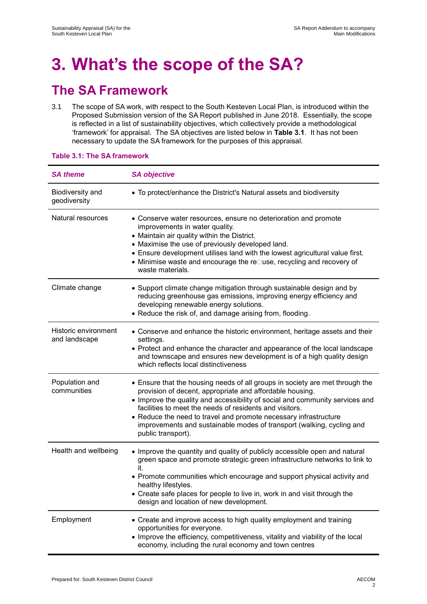## **3. What's the scope of the SA?**

### **The SA Framework**

3.1 The scope of SA work, with respect to the South Kesteven Local Plan, is introduced within the Proposed Submission version of the SA Report published in June 2018. Essentially, the scope is reflected in a list of sustainability objectives, which collectively provide a methodological 'framework' for appraisal. The SA objectives are listed below in **Table 3.1**. It has not been necessary to update the SA framework for the purposes of this appraisal.

| <b>SA theme</b>                       | <b>SA objective</b>                                                                                                                                                                                                                                                                                                                                                                                                                                    |
|---------------------------------------|--------------------------------------------------------------------------------------------------------------------------------------------------------------------------------------------------------------------------------------------------------------------------------------------------------------------------------------------------------------------------------------------------------------------------------------------------------|
| Biodiversity and<br>geodiversity      | • To protect/enhance the District's Natural assets and biodiversity                                                                                                                                                                                                                                                                                                                                                                                    |
| Natural resources                     | • Conserve water resources, ensure no deterioration and promote<br>improvements in water quality.<br>• Maintain air quality within the District.<br>• Maximise the use of previously developed land.<br>• Ensure development utilises land with the lowest agricultural value first.<br>• Minimise waste and encourage the re<br><u>Euse</u> , recycling and recovery of<br>waste materials.                                                           |
| Climate change                        | • Support climate change mitigation through sustainable design and by<br>reducing greenhouse gas emissions, improving energy efficiency and<br>developing renewable energy solutions.<br>• Reduce the risk of, and damage arising from, flooding.                                                                                                                                                                                                      |
| Historic environment<br>and landscape | • Conserve and enhance the historic environment, heritage assets and their<br>settings.<br>• Protect and enhance the character and appearance of the local landscape<br>and townscape and ensures new development is of a high quality design<br>which reflects local distinctiveness                                                                                                                                                                  |
| Population and<br>communities         | • Ensure that the housing needs of all groups in society are met through the<br>provision of decent, appropriate and affordable housing.<br>• Improve the quality and accessibility of social and community services and<br>facilities to meet the needs of residents and visitors.<br>• Reduce the need to travel and promote necessary infrastructure<br>improvements and sustainable modes of transport (walking, cycling and<br>public transport). |
| Health and wellbeing                  | • Improve the quantity and quality of publicly accessible open and natural<br>green space and promote strategic green infrastructure networks to link to<br>it.<br>• Promote communities which encourage and support physical activity and<br>healthy lifestyles.<br>• Create safe places for people to live in, work in and visit through the<br>design and location of new development.                                                              |
| Employment                            | • Create and improve access to high quality employment and training<br>opportunities for everyone.<br>• Improve the efficiency, competitiveness, vitality and viability of the local<br>economy, including the rural economy and town centres                                                                                                                                                                                                          |

#### **Table 3.1: The SA framework**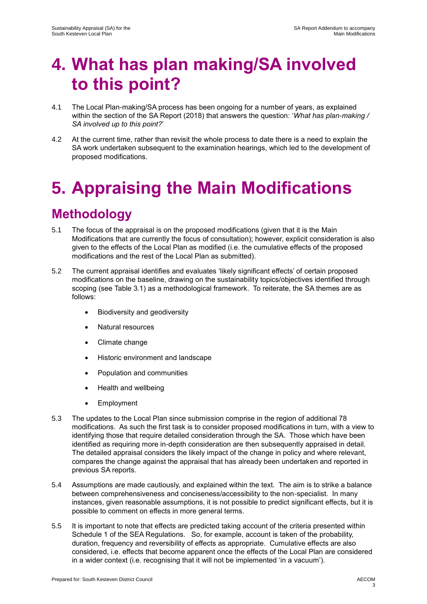## **4. What has plan making/SA involved to this point?**

- 4.1 The Local Plan-making/SA process has been ongoing for a number of years, as explained within the section of the SA Report (2018) that answers the question: '*What has plan-making / SA involved up to this point?*'
- 4.2 At the current time, rather than revisit the whole process to date there is a need to explain the SA work undertaken subsequent to the examination hearings, which led to the development of proposed modifications.

# **5. Appraising the Main Modifications**

### **Methodology**

- 5.1 The focus of the appraisal is on the proposed modifications (given that it is the Main Modifications that are currently the focus of consultation); however, explicit consideration is also given to the effects of the Local Plan as modified (i.e. the cumulative effects of the proposed modifications and the rest of the Local Plan as submitted).
- 5.2 The current appraisal identifies and evaluates 'likely significant effects' of certain proposed modifications on the baseline, drawing on the sustainability topics/objectives identified through scoping (see Table 3.1) as a methodological framework. To reiterate, the SA themes are as follows:
	- Biodiversity and geodiversity
	- Natural resources
	- Climate change
	- Historic environment and landscape
	- Population and communities
	- Health and wellbeing
	- Employment
- 5.3 The updates to the Local Plan since submission comprise in the region of additional 78 modifications. As such the first task is to consider proposed modifications in turn, with a view to identifying those that require detailed consideration through the SA. Those which have been identified as requiring more in-depth consideration are then subsequently appraised in detail. The detailed appraisal considers the likely impact of the change in policy and where relevant, compares the change against the appraisal that has already been undertaken and reported in previous SA reports.
- 5.4 Assumptions are made cautiously, and explained within the text. The aim is to strike a balance between comprehensiveness and conciseness/accessibility to the non-specialist. In many instances, given reasonable assumptions, it is not possible to predict significant effects, but it is possible to comment on effects in more general terms.
- 5.5 It is important to note that effects are predicted taking account of the criteria presented within Schedule 1 of the SEA Regulations. So, for example, account is taken of the probability, duration, frequency and reversibility of effects as appropriate. Cumulative effects are also considered, i.e. effects that become apparent once the effects of the Local Plan are considered in a wider context (i.e. recognising that it will not be implemented 'in a vacuum').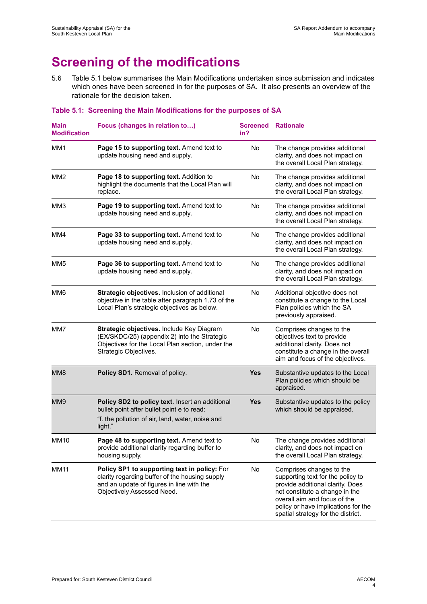### **Screening of the modifications**

5.6 Table 5.1 below summarises the Main Modifications undertaken since submission and indicates which ones have been screened in for the purposes of SA. It also presents an overview of the rationale for the decision taken.

|  | Table 5.1: Screening the Main Modifications for the purposes of SA |  |  |
|--|--------------------------------------------------------------------|--|--|
|  |                                                                    |  |  |

| Main<br><b>Modification</b> | Focus (changes in relation to)                                                                                                                                            |            | <b>Screened Rationale</b>                                                                                                                                                                                                                        |
|-----------------------------|---------------------------------------------------------------------------------------------------------------------------------------------------------------------------|------------|--------------------------------------------------------------------------------------------------------------------------------------------------------------------------------------------------------------------------------------------------|
| MM <sub>1</sub>             | Page 15 to supporting text. Amend text to<br>update housing need and supply.                                                                                              | No.        | The change provides additional<br>clarity, and does not impact on<br>the overall Local Plan strategy.                                                                                                                                            |
| MM <sub>2</sub>             | Page 18 to supporting text. Addition to<br>highlight the documents that the Local Plan will<br>replace.                                                                   | <b>No</b>  | The change provides additional<br>clarity, and does not impact on<br>the overall Local Plan strategy.                                                                                                                                            |
| MM <sub>3</sub>             | Page 19 to supporting text. Amend text to<br>update housing need and supply.                                                                                              | No.        | The change provides additional<br>clarity, and does not impact on<br>the overall Local Plan strategy.                                                                                                                                            |
| MM4                         | Page 33 to supporting text. Amend text to<br>update housing need and supply.                                                                                              | <b>No</b>  | The change provides additional<br>clarity, and does not impact on<br>the overall Local Plan strategy.                                                                                                                                            |
| MM <sub>5</sub>             | Page 36 to supporting text. Amend text to<br>update housing need and supply.                                                                                              | No.        | The change provides additional<br>clarity, and does not impact on<br>the overall Local Plan strategy.                                                                                                                                            |
| MM <sub>6</sub>             | Strategic objectives. Inclusion of additional<br>objective in the table after paragraph 1.73 of the<br>Local Plan's strategic objectives as below.                        |            | Additional objective does not<br>constitute a change to the Local<br>Plan policies which the SA<br>previously appraised.                                                                                                                         |
| MM7                         | Strategic objectives. Include Key Diagram<br>(EX/SKDC/25) (appendix 2) into the Strategic<br>Objectives for the Local Plan section, under the<br>Strategic Objectives.    |            | Comprises changes to the<br>objectives text to provide<br>additional clarity. Does not<br>constitute a change in the overall<br>aim and focus of the objectives.                                                                                 |
| MM <sub>8</sub>             | Policy SD1. Removal of policy.                                                                                                                                            | <b>Yes</b> | Substantive updates to the Local<br>Plan policies which should be<br>appraised.                                                                                                                                                                  |
| MM9                         | Policy SD2 to policy text. Insert an additional<br>bullet point after bullet point e to read:<br>"f. the pollution of air, land, water, noise and<br>light."              |            | Substantive updates to the policy<br>which should be appraised.                                                                                                                                                                                  |
| MM10                        | Page 48 to supporting text. Amend text to<br>provide additional clarity regarding buffer to<br>housing supply.                                                            | No         | The change provides additional<br>clarity, and does not impact on<br>the overall Local Plan strategy.                                                                                                                                            |
| <b>MM11</b>                 | Policy SP1 to supporting text in policy: For<br>clarity regarding buffer of the housing supply<br>and an update of figures in line with the<br>Objectively Assessed Need. |            | Comprises changes to the<br>supporting text for the policy to<br>provide additional clarity. Does<br>not constitute a change in the<br>overall aim and focus of the<br>policy or have implications for the<br>spatial strategy for the district. |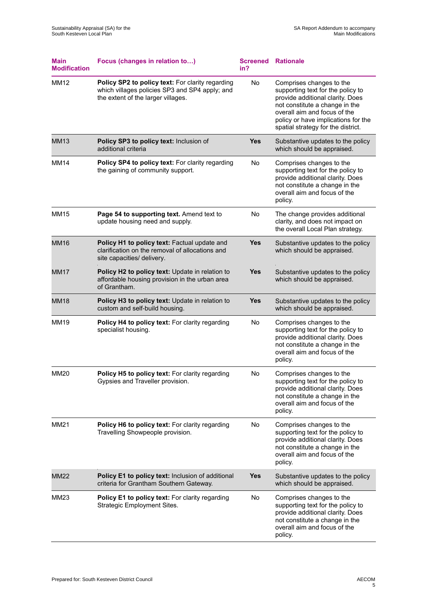| <b>Main</b><br><b>Modification</b> | Focus (changes in relation to)<br>in?                                                                                                    |                                                                               | <b>Screened Rationale</b>                                                                                                                                                                                                                        |  |  |
|------------------------------------|------------------------------------------------------------------------------------------------------------------------------------------|-------------------------------------------------------------------------------|--------------------------------------------------------------------------------------------------------------------------------------------------------------------------------------------------------------------------------------------------|--|--|
| <b>MM12</b>                        | Policy SP2 to policy text: For clarity regarding<br>which villages policies SP3 and SP4 apply; and<br>the extent of the larger villages. |                                                                               | Comprises changes to the<br>supporting text for the policy to<br>provide additional clarity. Does<br>not constitute a change in the<br>overall aim and focus of the<br>policy or have implications for the<br>spatial strategy for the district. |  |  |
| <b>MM13</b>                        | Policy SP3 to policy text: Inclusion of<br>additional criteria                                                                           | <b>Yes</b>                                                                    | Substantive updates to the policy<br>which should be appraised.                                                                                                                                                                                  |  |  |
| <b>MM14</b>                        | Policy SP4 to policy text: For clarity regarding<br>the gaining of community support.                                                    | No                                                                            | Comprises changes to the<br>supporting text for the policy to<br>provide additional clarity. Does<br>not constitute a change in the<br>overall aim and focus of the<br>policy.                                                                   |  |  |
| <b>MM15</b>                        | Page 54 to supporting text. Amend text to<br>update housing need and supply.                                                             |                                                                               | The change provides additional<br>clarity, and does not impact on<br>the overall Local Plan strategy.                                                                                                                                            |  |  |
| <b>MM16</b>                        | Policy H1 to policy text: Factual update and<br>clarification on the removal of allocations and<br>site capacities/ delivery.            | <b>Yes</b><br>Substantive updates to the policy<br>which should be appraised. |                                                                                                                                                                                                                                                  |  |  |
| <b>MM17</b>                        | Policy H2 to policy text: Update in relation to<br>affordable housing provision in the urban area<br>of Grantham.                        |                                                                               | Substantive updates to the policy<br>which should be appraised.                                                                                                                                                                                  |  |  |
| <b>MM18</b>                        | Policy H3 to policy text: Update in relation to<br>custom and self-build housing.                                                        | <b>Yes</b>                                                                    | Substantive updates to the policy<br>which should be appraised.                                                                                                                                                                                  |  |  |
| <b>MM19</b>                        | Policy H4 to policy text: For clarity regarding<br>specialist housing.                                                                   |                                                                               | Comprises changes to the<br>supporting text for the policy to<br>provide additional clarity. Does<br>not constitute a change in the<br>overall aim and focus of the<br>policy.                                                                   |  |  |
| <b>MM20</b>                        | Policy H5 to policy text: For clarity regarding<br>Gypsies and Traveller provision.                                                      | No                                                                            | Comprises changes to the<br>supporting text for the policy to<br>provide additional clarity. Does<br>not constitute a change in the<br>overall aim and focus of the<br>policy.                                                                   |  |  |
| MM21                               | Policy H6 to policy text: For clarity regarding<br>Travelling Showpeople provision.                                                      |                                                                               | Comprises changes to the<br>supporting text for the policy to<br>provide additional clarity. Does<br>not constitute a change in the<br>overall aim and focus of the<br>policy.                                                                   |  |  |
| <b>MM22</b>                        | Policy E1 to policy text: Inclusion of additional<br>criteria for Grantham Southern Gateway.                                             | <b>Yes</b>                                                                    | Substantive updates to the policy<br>which should be appraised.                                                                                                                                                                                  |  |  |
| <b>MM23</b>                        | Policy E1 to policy text: For clarity regarding<br>Strategic Employment Sites.                                                           | No                                                                            | Comprises changes to the<br>supporting text for the policy to<br>provide additional clarity. Does<br>not constitute a change in the<br>overall aim and focus of the<br>policy.                                                                   |  |  |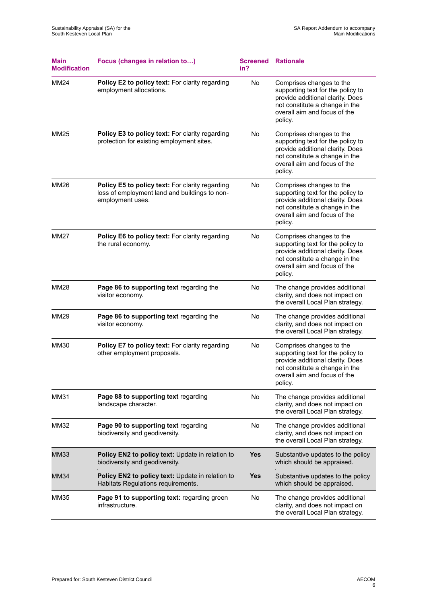| <b>Main</b><br><b>Modification</b> | Focus (changes in relation to)                                                                                       | <b>Screened</b><br>in? | <b>Rationale</b>                                                                                                                                                               |  |  |
|------------------------------------|----------------------------------------------------------------------------------------------------------------------|------------------------|--------------------------------------------------------------------------------------------------------------------------------------------------------------------------------|--|--|
| <b>MM24</b>                        | Policy E2 to policy text: For clarity regarding<br>employment allocations.                                           | No                     | Comprises changes to the<br>supporting text for the policy to<br>provide additional clarity. Does<br>not constitute a change in the<br>overall aim and focus of the<br>policy. |  |  |
| <b>MM25</b>                        | Policy E3 to policy text: For clarity regarding<br>No<br>protection for existing employment sites.                   |                        | Comprises changes to the<br>supporting text for the policy to<br>provide additional clarity. Does<br>not constitute a change in the<br>overall aim and focus of the<br>policy. |  |  |
| <b>MM26</b>                        | Policy E5 to policy text: For clarity regarding<br>loss of employment land and buildings to non-<br>employment uses. | No                     | Comprises changes to the<br>supporting text for the policy to<br>provide additional clarity. Does<br>not constitute a change in the<br>overall aim and focus of the<br>policy. |  |  |
| <b>MM27</b>                        | Policy E6 to policy text: For clarity regarding<br>the rural economy.                                                | No                     | Comprises changes to the<br>supporting text for the policy to<br>provide additional clarity. Does<br>not constitute a change in the<br>overall aim and focus of the<br>policy. |  |  |
| <b>MM28</b>                        | Page 86 to supporting text regarding the<br>visitor economy.                                                         | <b>No</b>              | The change provides additional<br>clarity, and does not impact on<br>the overall Local Plan strategy.                                                                          |  |  |
| <b>MM29</b>                        | Page 86 to supporting text regarding the<br>visitor economy.                                                         | <b>No</b>              | The change provides additional<br>clarity, and does not impact on<br>the overall Local Plan strategy.                                                                          |  |  |
| <b>MM30</b>                        | Policy E7 to policy text: For clarity regarding<br>other employment proposals.                                       | No                     | Comprises changes to the<br>supporting text for the policy to<br>provide additional clarity. Does<br>not constitute a change in the<br>overall aim and focus of the<br>policy. |  |  |
| MM31                               | Page 88 to supporting text regarding<br>No<br>landscape character.                                                   |                        | The change provides additional<br>clarity, and does not impact on<br>the overall Local Plan strategy.                                                                          |  |  |
| <b>MM32</b>                        | Page 90 to supporting text regarding<br>biodiversity and geodiversity.                                               |                        | The change provides additional<br>clarity, and does not impact on<br>the overall Local Plan strategy.                                                                          |  |  |
| <b>MM33</b>                        | <b>Policy EN2 to policy text:</b> Update in relation to<br>biodiversity and geodiversity.                            | <b>Yes</b>             | Substantive updates to the policy<br>which should be appraised.                                                                                                                |  |  |
| MM34                               | Policy EN2 to policy text: Update in relation to<br>Habitats Regulations requirements.                               | <b>Yes</b>             | Substantive updates to the policy<br>which should be appraised.                                                                                                                |  |  |
| MM35                               | Page 91 to supporting text: regarding green<br>infrastructure.                                                       | No                     | The change provides additional<br>clarity, and does not impact on<br>the overall Local Plan strategy.                                                                          |  |  |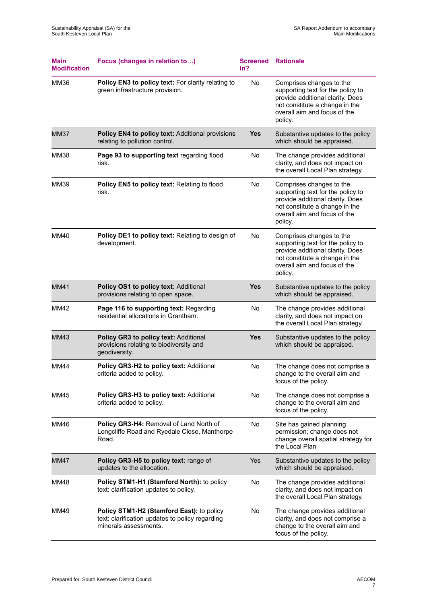| Main<br><b>Modification</b> | Focus (changes in relation to)<br>in?                                                                                 |            | <b>Screened Rationale</b>                                                                                                                                                      |  |  |
|-----------------------------|-----------------------------------------------------------------------------------------------------------------------|------------|--------------------------------------------------------------------------------------------------------------------------------------------------------------------------------|--|--|
| MM36                        | Policy EN3 to policy text: For clarity relating to<br>green infrastructure provision.                                 | No         | Comprises changes to the<br>supporting text for the policy to<br>provide additional clarity. Does<br>not constitute a change in the<br>overall aim and focus of the<br>policy. |  |  |
| <b>MM37</b>                 | Policy EN4 to policy text: Additional provisions<br>relating to pollution control.                                    | <b>Yes</b> | Substantive updates to the policy<br>which should be appraised.                                                                                                                |  |  |
| MM38                        | Page 93 to supporting text regarding flood<br>risk.                                                                   | No         | The change provides additional<br>clarity, and does not impact on<br>the overall Local Plan strategy.                                                                          |  |  |
| MM39                        | Policy EN5 to policy text: Relating to flood<br>risk.                                                                 |            | Comprises changes to the<br>supporting text for the policy to<br>provide additional clarity. Does<br>not constitute a change in the<br>overall aim and focus of the<br>policy. |  |  |
| MM40                        | Policy DE1 to policy text: Relating to design of<br>development.                                                      |            | Comprises changes to the<br>supporting text for the policy to<br>provide additional clarity. Does<br>not constitute a change in the<br>overall aim and focus of the<br>policy. |  |  |
| <b>MM41</b>                 | Policy OS1 to policy text: Additional<br>provisions relating to open space.                                           |            | Substantive updates to the policy<br>which should be appraised.                                                                                                                |  |  |
| <b>MM42</b>                 | Page 116 to supporting text: Regarding<br>residential allocations in Grantham.                                        | No         | The change provides additional<br>clarity, and does not impact on<br>the overall Local Plan strategy.                                                                          |  |  |
| MM43                        | Policy GR3 to policy text: Additional<br>provisions relating to biodiversity and<br>geodiversity.                     | <b>Yes</b> | Substantive updates to the policy<br>which should be appraised.                                                                                                                |  |  |
| MM44                        | Policy GR3-H2 to policy text: Additional<br>criteria added to policy.                                                 |            | The change does not comprise a<br>change to the overall aim and<br>focus of the policy.                                                                                        |  |  |
| MM45                        | Policy GR3-H3 to policy text: Additional<br>criteria added to policy.                                                 | No         | The change does not comprise a<br>change to the overall aim and<br>focus of the policy.                                                                                        |  |  |
| MM46                        | Policy GR3-H4: Removal of Land North of<br>Longcliffe Road and Ryedale Close, Manthorpe<br>Road.                      | No         | Site has gained planning<br>permission; change does not<br>change overall spatial strategy for<br>the Local Plan                                                               |  |  |
| <b>MM47</b>                 | <b>Policy GR3-H5 to policy text: range of</b><br>updates to the allocation.                                           | Yes        | Substantive updates to the policy<br>which should be appraised.                                                                                                                |  |  |
| MM48                        | Policy STM1-H1 (Stamford North): to policy<br>text: clarification updates to policy.                                  | No         | The change provides additional<br>clarity, and does not impact on<br>the overall Local Plan strategy.                                                                          |  |  |
| MM49                        | Policy STM1-H2 (Stamford East): to policy<br>text: clarification updates to policy regarding<br>minerals assessments. | No         | The change provides additional<br>clarity, and does not comprise a<br>change to the overall aim and<br>focus of the policy.                                                    |  |  |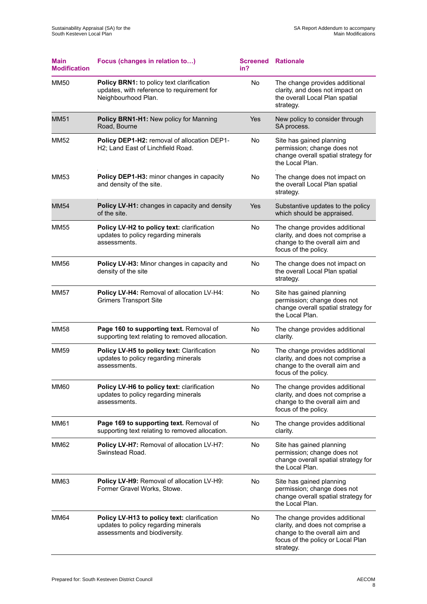| <b>Main</b><br>Focus (changes in relation to)<br><b>Modification</b> |                                                                                                                      | <b>Screened Rationale</b><br>in? |                                                                                                                                                       |  |  |
|----------------------------------------------------------------------|----------------------------------------------------------------------------------------------------------------------|----------------------------------|-------------------------------------------------------------------------------------------------------------------------------------------------------|--|--|
| <b>MM50</b>                                                          | Policy BRN1: to policy text clarification<br>updates, with reference to requirement for<br>Neighbourhood Plan.       |                                  | The change provides additional<br>clarity, and does not impact on<br>the overall Local Plan spatial<br>strategy.                                      |  |  |
| MM51                                                                 | Policy BRN1-H1: New policy for Manning<br>Road, Bourne                                                               |                                  | New policy to consider through<br>SA process.                                                                                                         |  |  |
| MM52                                                                 | Policy DEP1-H2: removal of allocation DEP1-<br>H2; Land East of Linchfield Road.                                     |                                  | Site has gained planning<br>permission; change does not<br>change overall spatial strategy for<br>the Local Plan.                                     |  |  |
| MM53                                                                 | Policy DEP1-H3: minor changes in capacity<br>and density of the site.                                                |                                  | The change does not impact on<br>the overall Local Plan spatial<br>strategy.                                                                          |  |  |
| <b>MM54</b>                                                          | Policy LV-H1: changes in capacity and density<br>of the site.                                                        |                                  | Substantive updates to the policy<br>which should be appraised.                                                                                       |  |  |
| <b>MM55</b>                                                          | Policy LV-H2 to policy text: clarification<br>updates to policy regarding minerals<br>assessments.                   |                                  | The change provides additional<br>clarity, and does not comprise a<br>change to the overall aim and<br>focus of the policy.                           |  |  |
| MM56                                                                 | Policy LV-H3: Minor changes in capacity and<br>density of the site                                                   |                                  | The change does not impact on<br>the overall Local Plan spatial<br>strategy.                                                                          |  |  |
| <b>MM57</b>                                                          | Policy LV-H4: Removal of allocation LV-H4:<br><b>Grimers Transport Site</b>                                          |                                  | Site has gained planning<br>permission; change does not<br>change overall spatial strategy for<br>the Local Plan.                                     |  |  |
| <b>MM58</b>                                                          | Page 160 to supporting text. Removal of<br>supporting text relating to removed allocation.                           | No                               | The change provides additional<br>clarity.                                                                                                            |  |  |
| <b>MM59</b>                                                          | Policy LV-H5 to policy text: Clarification<br>updates to policy regarding minerals<br>assessments.                   |                                  | The change provides additional<br>clarity, and does not comprise a<br>change to the overall aim and<br>focus of the policy.                           |  |  |
| <b>MM60</b>                                                          | Policy LV-H6 to policy text: clarification<br>updates to policy regarding minerals<br>assessments.                   | No                               | The change provides additional<br>clarity, and does not comprise a<br>change to the overall aim and<br>focus of the policy.                           |  |  |
| <b>MM61</b>                                                          | Page 169 to supporting text. Removal of<br>supporting text relating to removed allocation.                           | No                               | The change provides additional<br>clarity.                                                                                                            |  |  |
| <b>MM62</b>                                                          | Policy LV-H7: Removal of allocation LV-H7:<br>Swinstead Road.                                                        | No                               | Site has gained planning<br>permission; change does not<br>change overall spatial strategy for<br>the Local Plan.                                     |  |  |
| MM63                                                                 | Policy LV-H9: Removal of allocation LV-H9:<br>Former Gravel Works, Stowe.                                            | No                               | Site has gained planning<br>permission; change does not<br>change overall spatial strategy for<br>the Local Plan.                                     |  |  |
| MM64                                                                 | Policy LV-H13 to policy text: clarification<br>updates to policy regarding minerals<br>assessments and biodiversity. | No                               | The change provides additional<br>clarity, and does not comprise a<br>change to the overall aim and<br>focus of the policy or Local Plan<br>strategy. |  |  |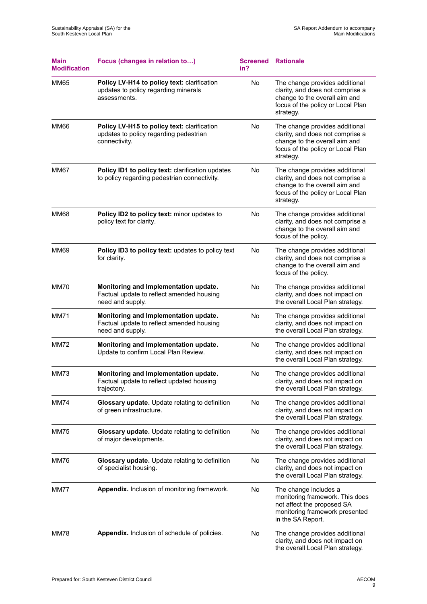| <b>Main</b><br><b>Modification</b>                                                                                    | Focus (changes in relation to)                                                                         | <b>Screened</b><br>in? | <b>Rationale</b>                                                                                                                                      |  |  |
|-----------------------------------------------------------------------------------------------------------------------|--------------------------------------------------------------------------------------------------------|------------------------|-------------------------------------------------------------------------------------------------------------------------------------------------------|--|--|
| <b>MM65</b>                                                                                                           | Policy LV-H14 to policy text: clarification<br>updates to policy regarding minerals<br>assessments.    | No                     | The change provides additional<br>clarity, and does not comprise a<br>change to the overall aim and<br>focus of the policy or Local Plan<br>strategy. |  |  |
| <b>MM66</b><br>Policy LV-H15 to policy text: clarification<br>updates to policy regarding pedestrian<br>connectivity. |                                                                                                        | No                     | The change provides additional<br>clarity, and does not comprise a<br>change to the overall aim and<br>focus of the policy or Local Plan<br>strategy. |  |  |
| <b>MM67</b>                                                                                                           | Policy ID1 to policy text: clarification updates<br>to policy regarding pedestrian connectivity.       |                        | The change provides additional<br>clarity, and does not comprise a<br>change to the overall aim and<br>focus of the policy or Local Plan<br>strategy. |  |  |
| <b>MM68</b><br>Policy ID2 to policy text: minor updates to<br>policy text for clarity.                                |                                                                                                        | No                     | The change provides additional<br>clarity, and does not comprise a<br>change to the overall aim and<br>focus of the policy.                           |  |  |
| <b>MM69</b>                                                                                                           | <b>Policy ID3 to policy text: updates to policy text</b><br>for clarity.                               |                        | The change provides additional<br>clarity, and does not comprise a<br>change to the overall aim and<br>focus of the policy.                           |  |  |
| <b>MM70</b>                                                                                                           | Monitoring and Implementation update.<br>Factual update to reflect amended housing<br>need and supply. |                        | The change provides additional<br>clarity, and does not impact on<br>the overall Local Plan strategy.                                                 |  |  |
| MM71                                                                                                                  | Monitoring and Implementation update.<br>Factual update to reflect amended housing<br>need and supply. |                        | The change provides additional<br>clarity, and does not impact on<br>the overall Local Plan strategy.                                                 |  |  |
| <b>MM72</b>                                                                                                           | Monitoring and Implementation update.<br>Update to confirm Local Plan Review.                          |                        | The change provides additional<br>clarity, and does not impact on<br>the overall Local Plan strategy.                                                 |  |  |
| <b>MM73</b>                                                                                                           | Monitoring and Implementation update.<br>Factual update to reflect updated housing<br>trajectory.      |                        | The change provides additional<br>clarity, and does not impact on<br>the overall Local Plan strategy.                                                 |  |  |
| <b>MM74</b>                                                                                                           | Glossary update. Update relating to definition<br>of green infrastructure.                             | No                     | The change provides additional<br>clarity, and does not impact on<br>the overall Local Plan strategy.                                                 |  |  |
| <b>MM75</b>                                                                                                           | Glossary update. Update relating to definition<br>of major developments.                               | No                     | The change provides additional<br>clarity, and does not impact on<br>the overall Local Plan strategy.                                                 |  |  |
| <b>MM76</b>                                                                                                           | <b>Glossary update.</b> Update relating to definition<br>of specialist housing.                        | No                     | The change provides additional<br>clarity, and does not impact on<br>the overall Local Plan strategy.                                                 |  |  |
| <b>MM77</b>                                                                                                           | Appendix. Inclusion of monitoring framework.                                                           |                        | The change includes a<br>monitoring framework. This does<br>not affect the proposed SA<br>monitoring framework presented<br>in the SA Report.         |  |  |
| <b>MM78</b>                                                                                                           | Appendix. Inclusion of schedule of policies.                                                           | No                     | The change provides additional<br>clarity, and does not impact on<br>the overall Local Plan strategy.                                                 |  |  |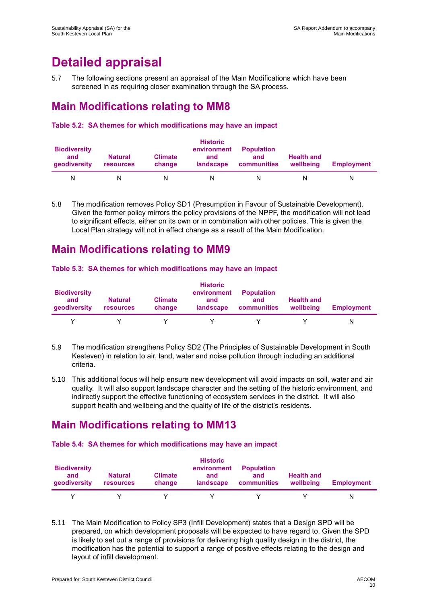## **Detailed appraisal**

5.7 The following sections present an appraisal of the Main Modifications which have been screened in as requiring closer examination through the SA process.

### **Main Modifications relating to MM8**

| <b>Biodiversity</b><br>and<br>geodiversity | <b>Natural</b><br><b>resources</b> | <b>Climate</b><br>change | <b>Historic</b><br>environment<br>and<br>landscape | <b>Population</b><br>and<br>communities | <b>Health and</b><br>wellbeing | <b>Employment</b> |
|--------------------------------------------|------------------------------------|--------------------------|----------------------------------------------------|-----------------------------------------|--------------------------------|-------------------|
| N                                          | N                                  | N                        | N                                                  | N                                       | N                              | N                 |

**Table 5.2: SA themes for which modifications may have an impact**

5.8 The modification removes Policy SD1 (Presumption in Favour of Sustainable Development). Given the former policy mirrors the policy provisions of the NPPF, the modification will not lead to significant effects, either on its own or in combination with other policies. This is given the Local Plan strategy will not in effect change as a result of the Main Modification.

### **Main Modifications relating to MM9**

|  |  |  | Table 5.3: SA themes for which modifications may have an impact |  |  |  |
|--|--|--|-----------------------------------------------------------------|--|--|--|
|--|--|--|-----------------------------------------------------------------|--|--|--|

| <b>Biodiversity</b><br>and<br>geodiversity | <b>Natural</b><br><b>resources</b> | <b>Climate</b><br>change | <b>Historic</b><br>environment<br>and<br>landscape | <b>Population</b><br>and<br>communities | <b>Health and</b><br>wellbeing | <b>Employment</b> |
|--------------------------------------------|------------------------------------|--------------------------|----------------------------------------------------|-----------------------------------------|--------------------------------|-------------------|
|                                            |                                    |                          |                                                    |                                         |                                | N                 |

5.9 The modification strengthens Policy SD2 (The Principles of Sustainable Development in South Kesteven) in relation to air, land, water and noise pollution through including an additional criteria.

5.10 This additional focus will help ensure new development will avoid impacts on soil, water and air quality. It will also support landscape character and the setting of the historic environment, and indirectly support the effective functioning of ecosystem services in the district. It will also support health and wellbeing and the quality of life of the district's residents.

### **Main Modifications relating to MM13**

#### **Table 5.4: SA themes for which modifications may have an impact**

| <b>Biodiversity</b><br>and<br>geodiversity | <b>Natural</b><br><b>resources</b> | <b>Climate</b><br>change | <b>Historic</b><br>environment<br>and<br>landscape | <b>Population</b><br>and<br>communities | <b>Health and</b><br>wellbeing | <b>Employment</b> |
|--------------------------------------------|------------------------------------|--------------------------|----------------------------------------------------|-----------------------------------------|--------------------------------|-------------------|
|                                            |                                    |                          |                                                    |                                         |                                |                   |

5.11 The Main Modification to Policy SP3 (Infill Development) states that a Design SPD will be prepared, on which development proposals will be expected to have regard to. Given the SPD is likely to set out a range of provisions for delivering high quality design in the district, the modification has the potential to support a range of positive effects relating to the design and layout of infill development.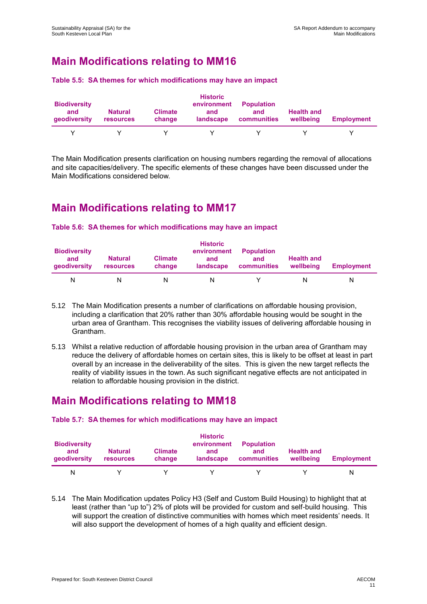### **Main Modifications relating to MM16**

| <b>Biodiversity</b><br>and<br>qeodiversity | <b>Natural</b><br><b>resources</b> | <b>Climate</b><br>change | <b>Historic</b><br>environment<br>and<br>landscape | <b>Population</b><br>and<br>communities | <b>Health and</b><br>wellbeing | <b>Employment</b> |
|--------------------------------------------|------------------------------------|--------------------------|----------------------------------------------------|-----------------------------------------|--------------------------------|-------------------|
|                                            |                                    |                          |                                                    |                                         |                                |                   |

#### **Table 5.5: SA themes for which modifications may have an impact**

The Main Modification presents clarification on housing numbers regarding the removal of allocations and site capacities/delivery. The specific elements of these changes have been discussed under the Main Modifications considered below.

### **Main Modifications relating to MM17**

|  | Table 5.6: SA themes for which modifications may have an impact |  |
|--|-----------------------------------------------------------------|--|
|  |                                                                 |  |

| <b>Biodiversity</b><br>and<br>geodiversity | <b>Natural</b><br><b>resources</b> | <b>Climate</b><br>change | environment<br>and<br>landscape | <b>Population</b><br>and<br>communities | <b>Health and</b><br>wellbeing | <b>Employment</b> |
|--------------------------------------------|------------------------------------|--------------------------|---------------------------------|-----------------------------------------|--------------------------------|-------------------|
| N                                          |                                    | N                        | N                               |                                         | N                              | N                 |

- 5.12 The Main Modification presents a number of clarifications on affordable housing provision, including a clarification that 20% rather than 30% affordable housing would be sought in the urban area of Grantham. This recognises the viability issues of delivering affordable housing in Grantham.
- 5.13 Whilst a relative reduction of affordable housing provision in the urban area of Grantham may reduce the delivery of affordable homes on certain sites, this is likely to be offset at least in part overall by an increase in the deliverability of the sites. This is given the new target reflects the reality of viability issues in the town. As such significant negative effects are not anticipated in relation to affordable housing provision in the district.

#### **Main Modifications relating to MM18**

#### **Table 5.7: SA themes for which modifications may have an impact**

| <b>Biodiversity</b><br>and<br>geodiversity | <b>Natural</b><br><b>resources</b> | <b>Climate</b><br>change | <b>Historic</b><br>environment<br>and<br>landscape | <b>Population</b><br>and<br>communities | <b>Health and</b><br>wellbeing | <b>Employment</b> |
|--------------------------------------------|------------------------------------|--------------------------|----------------------------------------------------|-----------------------------------------|--------------------------------|-------------------|
| N                                          |                                    |                          |                                                    |                                         |                                |                   |

5.14 The Main Modification updates Policy H3 (Self and Custom Build Housing) to highlight that at least (rather than "up to") 2% of plots will be provided for custom and self-build housing. This will support the creation of distinctive communities with homes which meet residents' needs. It will also support the development of homes of a high quality and efficient design.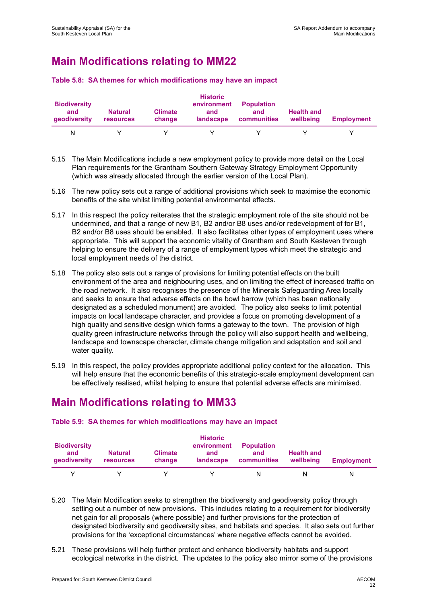### **Main Modifications relating to MM22**

| <b>Biodiversity</b><br>and<br>qeodiversity | <b>Natural</b><br><b>resources</b> | <b>Climate</b><br>change | <b>Historic</b><br>environment<br>and<br>landscape | <b>Population</b><br>and<br>communities | <b>Health and</b><br>wellbeing | <b>Employment</b> |
|--------------------------------------------|------------------------------------|--------------------------|----------------------------------------------------|-----------------------------------------|--------------------------------|-------------------|
| N                                          |                                    |                          |                                                    |                                         |                                |                   |

#### **Table 5.8: SA themes for which modifications may have an impact**

- 5.15 The Main Modifications include a new employment policy to provide more detail on the Local Plan requirements for the Grantham Southern Gateway Strategy Employment Opportunity (which was already allocated through the earlier version of the Local Plan).
- 5.16 The new policy sets out a range of additional provisions which seek to maximise the economic benefits of the site whilst limiting potential environmental effects.
- 5.17 In this respect the policy reiterates that the strategic employment role of the site should not be undermined, and that a range of new B1, B2 and/or B8 uses and/or redevelopment of for B1, B2 and/or B8 uses should be enabled. It also facilitates other types of employment uses where appropriate. This will support the economic vitality of Grantham and South Kesteven through helping to ensure the delivery of a range of employment types which meet the strategic and local employment needs of the district.
- 5.18 The policy also sets out a range of provisions for limiting potential effects on the built environment of the area and neighbouring uses, and on limiting the effect of increased traffic on the road network. It also recognises the presence of the Minerals Safeguarding Area locally and seeks to ensure that adverse effects on the bowl barrow (which has been nationally designated as a scheduled monument) are avoided. The policy also seeks to limit potential impacts on local landscape character, and provides a focus on promoting development of a high quality and sensitive design which forms a gateway to the town. The provision of high quality green infrastructure networks through the policy will also support health and wellbeing, landscape and townscape character, climate change mitigation and adaptation and soil and water quality.
- 5.19 In this respect, the policy provides appropriate additional policy context for the allocation. This will help ensure that the economic benefits of this strategic-scale employment development can be effectively realised, whilst helping to ensure that potential adverse effects are minimised.

#### **Main Modifications relating to MM33**

| <b>Biodiversity</b><br>and<br>geodiversity | <b>Natural</b><br><b>resources</b> | <b>Climate</b><br>change | <b>Historic</b><br>environment<br>and<br>landscape | <b>Population</b><br>and<br>communities | <b>Health and</b><br>wellbeing | <b>Employment</b> |
|--------------------------------------------|------------------------------------|--------------------------|----------------------------------------------------|-----------------------------------------|--------------------------------|-------------------|
|                                            |                                    |                          |                                                    | N                                       | N                              | N                 |

#### **Table 5.9: SA themes for which modifications may have an impact**

- 5.20 The Main Modification seeks to strengthen the biodiversity and geodiversity policy through setting out a number of new provisions. This includes relating to a requirement for biodiversity net gain for all proposals (where possible) and further provisions for the protection of designated biodiversity and geodiversity sites, and habitats and species. It also sets out further provisions for the 'exceptional circumstances' where negative effects cannot be avoided.
- 5.21 These provisions will help further protect and enhance biodiversity habitats and support ecological networks in the district. The updates to the policy also mirror some of the provisions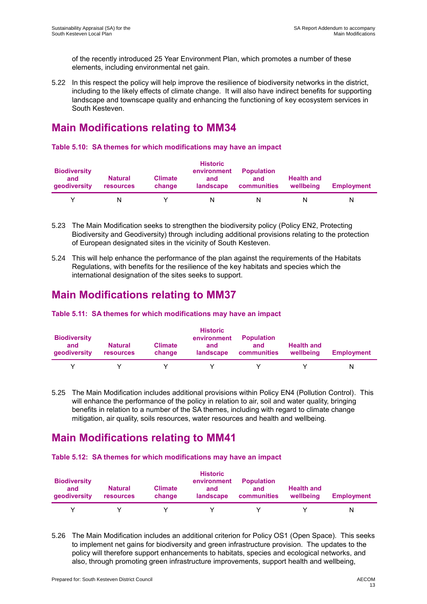of the recently introduced 25 Year Environment Plan, which promotes a number of these elements, including environmental net gain.

5.22 In this respect the policy will help improve the resilience of biodiversity networks in the district, including to the likely effects of climate change. It will also have indirect benefits for supporting landscape and townscape quality and enhancing the functioning of key ecosystem services in South Kesteven.

### **Main Modifications relating to MM34**

#### **Table 5.10: SA themes for which modifications may have an impact**

| <b>Biodiversity</b><br>and<br>geodiversity | <b>Natural</b><br><b>resources</b> | <b>Climate</b><br>change | <b>Historic</b><br>environment<br>and<br>landscape | <b>Population</b><br>and<br>communities | <b>Health and</b><br>wellbeing | <b>Employment</b> |
|--------------------------------------------|------------------------------------|--------------------------|----------------------------------------------------|-----------------------------------------|--------------------------------|-------------------|
|                                            | N                                  |                          |                                                    | N                                       | N                              |                   |

- 5.23 The Main Modification seeks to strengthen the biodiversity policy (Policy EN2, Protecting Biodiversity and Geodiversity) through including additional provisions relating to the protection of European designated sites in the vicinity of South Kesteven.
- 5.24 This will help enhance the performance of the plan against the requirements of the Habitats Regulations, with benefits for the resilience of the key habitats and species which the international designation of the sites seeks to support.

#### **Main Modifications relating to MM37**

#### **Table 5.11: SA themes for which modifications may have an impact Historic**

| <b>Biodiversity</b><br>and<br>geodiversity | <b>Natural</b><br><b>resources</b> | <b>Climate</b><br>change | пізшіс<br>environment<br>and<br>landscape | <b>Population</b><br>and<br>communities | <b>Health and</b><br>wellbeing | <b>Employment</b> |
|--------------------------------------------|------------------------------------|--------------------------|-------------------------------------------|-----------------------------------------|--------------------------------|-------------------|
|                                            |                                    |                          |                                           |                                         |                                | N                 |

5.25 The Main Modification includes additional provisions within Policy EN4 (Pollution Control). This will enhance the performance of the policy in relation to air, soil and water quality, bringing benefits in relation to a number of the SA themes, including with regard to climate change mitigation, air quality, soils resources, water resources and health and wellbeing.

### **Main Modifications relating to MM41**

#### **Table 5.12: SA themes for which modifications may have an impact**

| <b>Biodiversity</b><br>and<br>geodiversity | <b>Natural</b><br><b>resources</b> | <b>Climate</b><br>change | <b>Historic</b><br>environment<br>and<br>landscape | <b>Population</b><br>and<br>communities | <b>Health and</b><br>wellbeing | <b>Employment</b> |
|--------------------------------------------|------------------------------------|--------------------------|----------------------------------------------------|-----------------------------------------|--------------------------------|-------------------|
|                                            |                                    |                          |                                                    |                                         |                                |                   |

5.26 The Main Modification includes an additional criterion for Policy OS1 (Open Space). This seeks to implement net gains for biodiversity and green infrastructure provision. The updates to the policy will therefore support enhancements to habitats, species and ecological networks, and also, through promoting green infrastructure improvements, support health and wellbeing,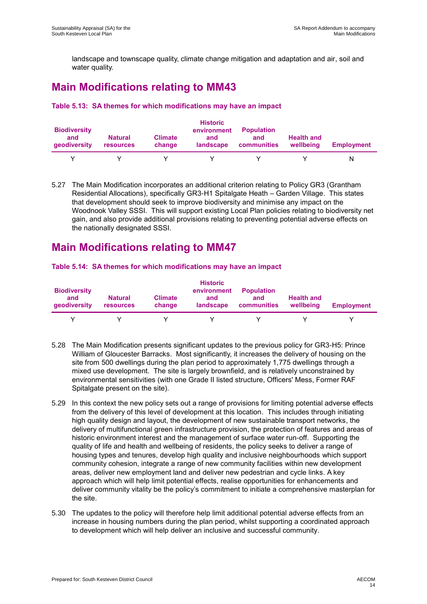landscape and townscape quality, climate change mitigation and adaptation and air, soil and water quality.

### **Main Modifications relating to MM43**

| <b>Biodiversity</b><br>and<br>geodiversity | <b>Natural</b><br><b>resources</b> | <b>Climate</b><br>change | <b>Historic</b><br>environment<br>and<br>landscape | <b>Population</b><br>and<br>communities | <b>Health and</b><br>wellbeing | <b>Employment</b> |
|--------------------------------------------|------------------------------------|--------------------------|----------------------------------------------------|-----------------------------------------|--------------------------------|-------------------|
|                                            |                                    |                          |                                                    |                                         |                                | N                 |

#### **Table 5.13: SA themes for which modifications may have an impact**

5.27 The Main Modification incorporates an additional criterion relating to Policy GR3 (Grantham Residential Allocations), specifically GR3-H1 Spitalgate Heath – Garden Village. This states that development should seek to improve biodiversity and minimise any impact on the Woodnook Valley SSSI. This will support existing Local Plan policies relating to biodiversity net gain, and also provide additional provisions relating to preventing potential adverse effects on the nationally designated SSSI.

#### **Main Modifications relating to MM47**

#### **Biodiversity and geodiversity Natural resources Climate change Historic environment and landscape Population and communities Health and wellbeing Employment** Y Y Y Y Y Y Y

#### **Table 5.14: SA themes for which modifications may have an impact**

- 5.28 The Main Modification presents significant updates to the previous policy for GR3-H5: Prince William of Gloucester Barracks. Most significantly, it increases the delivery of housing on the site from 500 dwellings during the plan period to approximately 1,775 dwellings through a mixed use development. The site is largely brownfield, and is relatively unconstrained by environmental sensitivities (with one Grade II listed structure, Officers' Mess, Former RAF Spitalgate present on the site).
- 5.29 In this context the new policy sets out a range of provisions for limiting potential adverse effects from the delivery of this level of development at this location. This includes through initiating high quality design and layout, the development of new sustainable transport networks, the delivery of multifunctional green infrastructure provision, the protection of features and areas of historic environment interest and the management of surface water run-off. Supporting the quality of life and health and wellbeing of residents, the policy seeks to deliver a range of housing types and tenures, develop high quality and inclusive neighbourhoods which support community cohesion, integrate a range of new community facilities within new development areas, deliver new employment land and deliver new pedestrian and cycle links. A key approach which will help limit potential effects, realise opportunities for enhancements and deliver community vitality be the policy's commitment to initiate a comprehensive masterplan for the site.
- 5.30 The updates to the policy will therefore help limit additional potential adverse effects from an increase in housing numbers during the plan period, whilst supporting a coordinated approach to development which will help deliver an inclusive and successful community.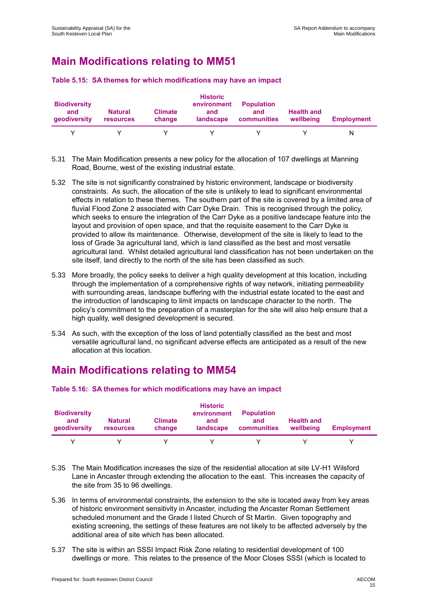### **Main Modifications relating to MM51**

| <b>Biodiversity</b><br>and<br>qeodiversity | <b>Natural</b><br><b>resources</b> | <b>Climate</b><br>change | <b>Historic</b><br>environment<br>and<br>landscape | <b>Population</b><br>and<br>communities | <b>Health and</b><br>wellbeing | <b>Employment</b> |
|--------------------------------------------|------------------------------------|--------------------------|----------------------------------------------------|-----------------------------------------|--------------------------------|-------------------|
|                                            |                                    |                          |                                                    |                                         |                                | N                 |

#### **Table 5.15: SA themes for which modifications may have an impact**

- 5.31 The Main Modification presents a new policy for the allocation of 107 dwellings at Manning Road, Bourne, west of the existing industrial estate.
- 5.32 The site is not significantly constrained by historic environment, landscape or biodiversity constraints. As such, the allocation of the site is unlikely to lead to significant environmental effects in relation to these themes. The southern part of the site is covered by a limited area of fluvial Flood Zone 2 associated with Carr Dyke Drain. This is recognised through the policy. which seeks to ensure the integration of the Carr Dyke as a positive landscape feature into the layout and provision of open space, and that the requisite easement to the Carr Dyke is provided to allow its maintenance. Otherwise, development of the site is likely to lead to the loss of Grade 3a agricultural land, which is land classified as the best and most versatile agricultural land. Whilst detailed agricultural land classification has not been undertaken on the site itself, land directly to the north of the site has been classified as such.
- 5.33 More broadly, the policy seeks to deliver a high quality development at this location, including through the implementation of a comprehensive rights of way network, initiating permeability with surrounding areas, landscape buffering with the industrial estate located to the east and the introduction of landscaping to limit impacts on landscape character to the north. The policy's commitment to the preparation of a masterplan for the site will also help ensure that a high quality, well designed development is secured.
- 5.34 As such, with the exception of the loss of land potentially classified as the best and most versatile agricultural land, no significant adverse effects are anticipated as a result of the new allocation at this location.

### **Main Modifications relating to MM54**

| <b>Biodiversity</b><br>and<br>geodiversity | <b>Natural</b><br><b>resources</b> | <b>Climate</b><br>change | <b>Historic</b><br>environment<br>and<br>landscape | <b>Population</b><br>and<br>communities | <b>Health and</b><br>wellbeing | <b>Employment</b> |
|--------------------------------------------|------------------------------------|--------------------------|----------------------------------------------------|-----------------------------------------|--------------------------------|-------------------|
|                                            |                                    |                          |                                                    |                                         |                                |                   |

**Table 5.16: SA themes for which modifications may have an impact**

5.35 The Main Modification increases the size of the residential allocation at site LV-H1 Wilsford Lane in Ancaster through extending the allocation to the east. This increases the capacity of the site from 35 to 96 dwellings.

- 5.36 In terms of environmental constraints, the extension to the site is located away from key areas of historic environment sensitivity in Ancaster, including the Ancaster Roman Settlement scheduled monument and the Grade I listed Church of St Martin. Given topography and existing screening, the settings of these features are not likely to be affected adversely by the additional area of site which has been allocated.
- 5.37 The site is within an SSSI Impact Risk Zone relating to residential development of 100 dwellings or more. This relates to the presence of the Moor Closes SSSI (which is located to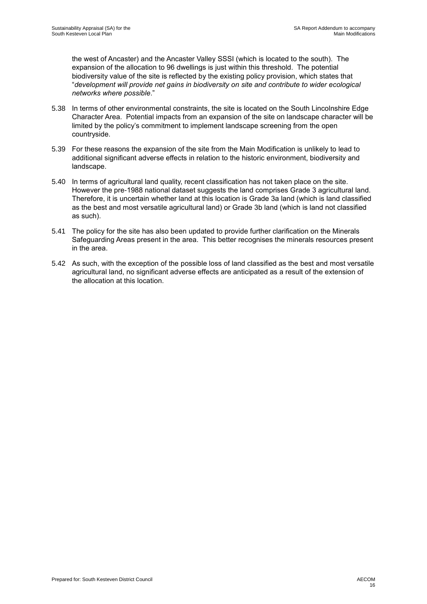the west of Ancaster) and the Ancaster Valley SSSI (which is located to the south). The expansion of the allocation to 96 dwellings is just within this threshold. The potential biodiversity value of the site is reflected by the existing policy provision, which states that "*development will provide net gains in biodiversity on site and contribute to wider ecological networks where possible*."

- 5.38 In terms of other environmental constraints, the site is located on the South Lincolnshire Edge Character Area. Potential impacts from an expansion of the site on landscape character will be limited by the policy's commitment to implement landscape screening from the open countryside.
- 5.39 For these reasons the expansion of the site from the Main Modification is unlikely to lead to additional significant adverse effects in relation to the historic environment, biodiversity and landscape.
- 5.40 In terms of agricultural land quality, recent classification has not taken place on the site. However the pre-1988 national dataset suggests the land comprises Grade 3 agricultural land. Therefore, it is uncertain whether land at this location is Grade 3a land (which is land classified as the best and most versatile agricultural land) or Grade 3b land (which is land not classified as such).
- 5.41 The policy for the site has also been updated to provide further clarification on the Minerals Safeguarding Areas present in the area. This better recognises the minerals resources present in the area.
- 5.42 As such, with the exception of the possible loss of land classified as the best and most versatile agricultural land, no significant adverse effects are anticipated as a result of the extension of the allocation at this location.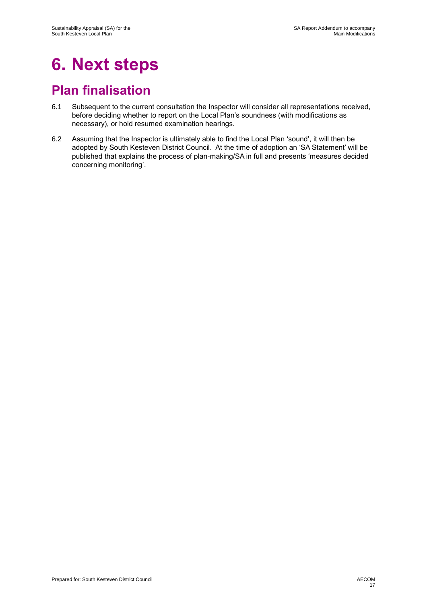## **6. Next steps**

### **Plan finalisation**

- 6.1 Subsequent to the current consultation the Inspector will consider all representations received, before deciding whether to report on the Local Plan's soundness (with modifications as necessary), or hold resumed examination hearings.
- 6.2 Assuming that the Inspector is ultimately able to find the Local Plan 'sound', it will then be adopted by South Kesteven District Council. At the time of adoption an 'SA Statement' will be published that explains the process of plan-making/SA in full and presents 'measures decided concerning monitoring'.